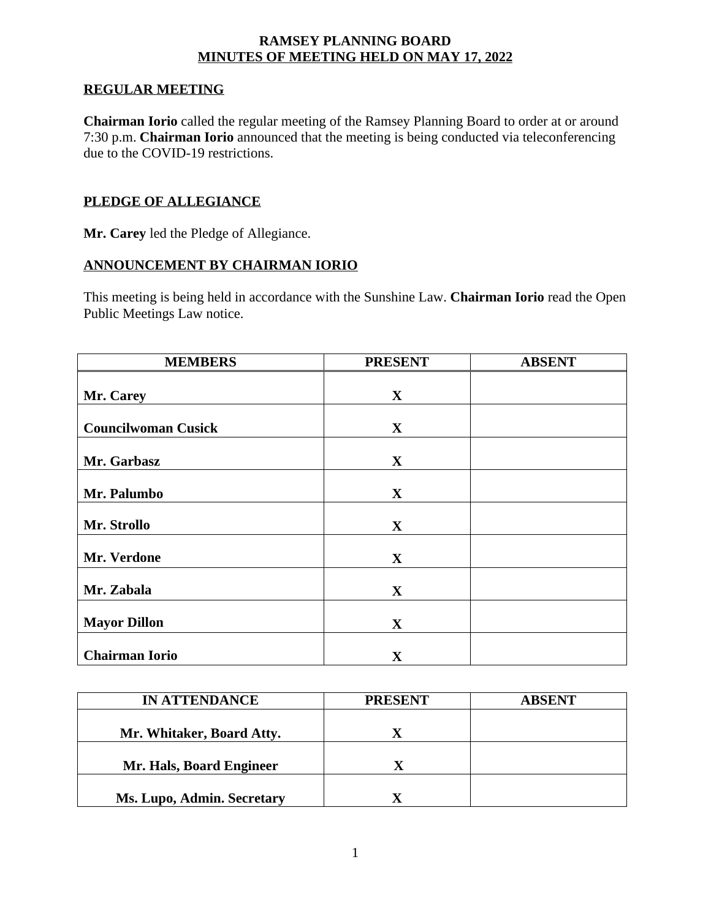### **RAMSEY PLANNING BOARD MINUTES OF MEETING HELD ON MAY 17, 2022**

## **REGULAR MEETING**

**Chairman Iorio** called the regular meeting of the Ramsey Planning Board to order at or around 7:30 p.m. **Chairman Iorio** announced that the meeting is being conducted via teleconferencing due to the COVID-19 restrictions.

## **PLEDGE OF ALLEGIANCE**

**Mr. Carey** led the Pledge of Allegiance.

#### **ANNOUNCEMENT BY CHAIRMAN IORIO**

This meeting is being held in accordance with the Sunshine Law. **Chairman Iorio** read the Open Public Meetings Law notice.

| <b>MEMBERS</b>             | <b>PRESENT</b> | <b>ABSENT</b> |
|----------------------------|----------------|---------------|
|                            |                |               |
| Mr. Carey                  | $\mathbf{X}$   |               |
|                            |                |               |
| <b>Councilwoman Cusick</b> | $\mathbf{X}$   |               |
| Mr. Garbasz                | $\mathbf{X}$   |               |
|                            |                |               |
| Mr. Palumbo                | $\mathbf{X}$   |               |
|                            |                |               |
| Mr. Strollo                | $\mathbf X$    |               |
| Mr. Verdone                | $\mathbf{X}$   |               |
|                            |                |               |
| Mr. Zabala                 | $\mathbf{X}$   |               |
|                            |                |               |
| <b>Mayor Dillon</b>        | $\mathbf X$    |               |
|                            |                |               |
| <b>Chairman Iorio</b>      | $\mathbf{X}$   |               |

| <b>IN ATTENDANCE</b>       | <b>PRESENT</b> | <b>ABSENT</b> |
|----------------------------|----------------|---------------|
|                            |                |               |
| Mr. Whitaker, Board Atty.  |                |               |
|                            |                |               |
| Mr. Hals, Board Engineer   |                |               |
|                            |                |               |
| Ms. Lupo, Admin. Secretary |                |               |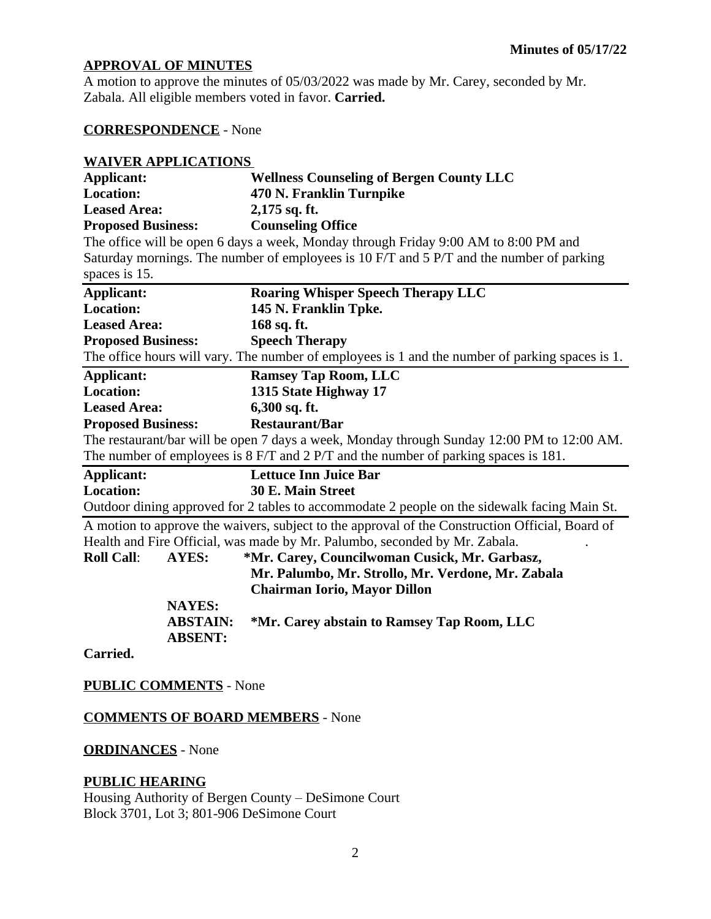# **APPROVAL OF MINUTES**

A motion to approve the minutes of 05/03/2022 was made by Mr. Carey, seconded by Mr. Zabala. All eligible members voted in favor. **Carried.**

# **CORRESPONDENCE** - None

| <b>WAIVER APPLICATIONS</b> |                 |                                                                                                 |
|----------------------------|-----------------|-------------------------------------------------------------------------------------------------|
| Applicant:                 |                 | <b>Wellness Counseling of Bergen County LLC</b>                                                 |
| <b>Location:</b>           |                 | 470 N. Franklin Turnpike                                                                        |
| <b>Leased Area:</b>        |                 | 2,175 sq. ft.                                                                                   |
| <b>Proposed Business:</b>  |                 | <b>Counseling Office</b>                                                                        |
|                            |                 | The office will be open 6 days a week, Monday through Friday 9:00 AM to 8:00 PM and             |
|                            |                 | Saturday mornings. The number of employees is 10 F/T and 5 P/T and the number of parking        |
| spaces is 15.              |                 |                                                                                                 |
| <b>Applicant:</b>          |                 | <b>Roaring Whisper Speech Therapy LLC</b>                                                       |
| <b>Location:</b>           |                 | 145 N. Franklin Tpke.                                                                           |
| <b>Leased Area:</b>        |                 | 168 sq. ft.                                                                                     |
| <b>Proposed Business:</b>  |                 | <b>Speech Therapy</b>                                                                           |
|                            |                 | The office hours will vary. The number of employees is 1 and the number of parking spaces is 1. |
| <b>Applicant:</b>          |                 | <b>Ramsey Tap Room, LLC</b>                                                                     |
| <b>Location:</b>           |                 | 1315 State Highway 17                                                                           |
| <b>Leased Area:</b>        |                 | 6,300 sq. ft.                                                                                   |
| <b>Proposed Business:</b>  |                 | <b>Restaurant/Bar</b>                                                                           |
|                            |                 | The restaurant/bar will be open 7 days a week, Monday through Sunday 12:00 PM to 12:00 AM.      |
|                            |                 | The number of employees is 8 F/T and 2 P/T and the number of parking spaces is 181.             |
| <b>Applicant:</b>          |                 | <b>Lettuce Inn Juice Bar</b>                                                                    |
| <b>Location:</b>           |                 | 30 E. Main Street                                                                               |
|                            |                 | Outdoor dining approved for 2 tables to accommodate 2 people on the sidewalk facing Main St.    |
|                            |                 | A motion to approve the waivers, subject to the approval of the Construction Official, Board of |
|                            |                 | Health and Fire Official, was made by Mr. Palumbo, seconded by Mr. Zabala.                      |
| <b>Roll Call:</b>          | AYES:           | *Mr. Carey, Councilwoman Cusick, Mr. Garbasz,                                                   |
|                            |                 | Mr. Palumbo, Mr. Strollo, Mr. Verdone, Mr. Zabala                                               |
|                            |                 | <b>Chairman Iorio, Mayor Dillon</b>                                                             |
|                            | <b>NAYES:</b>   |                                                                                                 |
|                            | <b>ABSTAIN:</b> | *Mr. Carey abstain to Ramsey Tap Room, LLC                                                      |
|                            | <b>ABSENT:</b>  |                                                                                                 |
| $\Gamma$ <sub>amia</sub> l |                 |                                                                                                 |

**Carried.**

# **PUBLIC COMMENTS** - None

## **COMMENTS OF BOARD MEMBERS** - None

# **ORDINANCES** - None

### **PUBLIC HEARING**

Housing Authority of Bergen County – DeSimone Court Block 3701, Lot 3; 801-906 DeSimone Court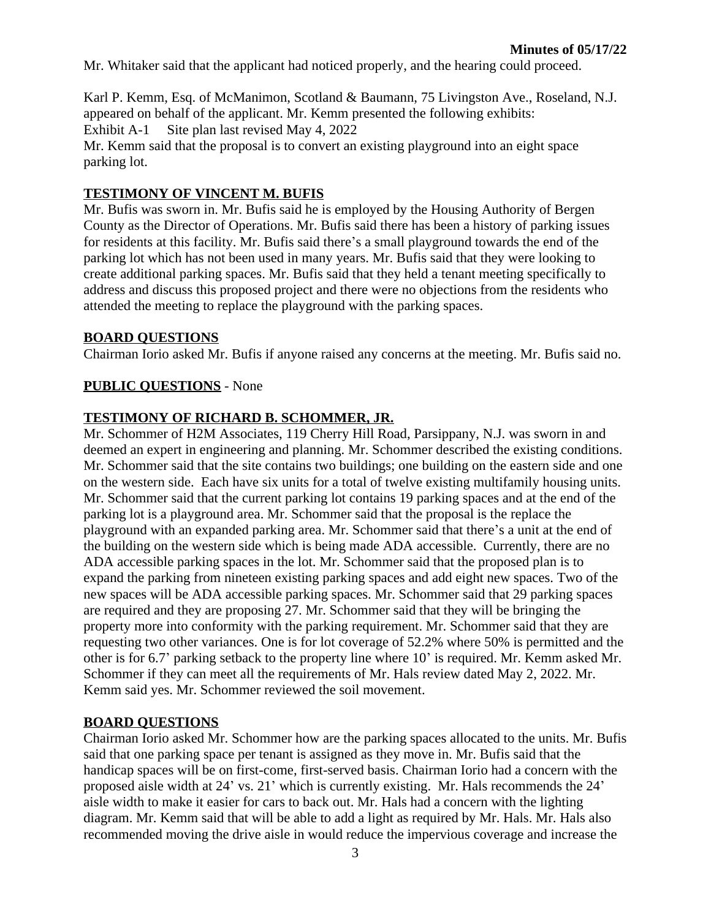Mr. Whitaker said that the applicant had noticed properly, and the hearing could proceed.

Karl P. Kemm, Esq. of McManimon, Scotland & Baumann, 75 Livingston Ave., Roseland, N.J. appeared on behalf of the applicant. Mr. Kemm presented the following exhibits: Exhibit A-1 Site plan last revised May 4, 2022

Mr. Kemm said that the proposal is to convert an existing playground into an eight space parking lot.

## **TESTIMONY OF VINCENT M. BUFIS**

Mr. Bufis was sworn in. Mr. Bufis said he is employed by the Housing Authority of Bergen County as the Director of Operations. Mr. Bufis said there has been a history of parking issues for residents at this facility. Mr. Bufis said there's a small playground towards the end of the parking lot which has not been used in many years. Mr. Bufis said that they were looking to create additional parking spaces. Mr. Bufis said that they held a tenant meeting specifically to address and discuss this proposed project and there were no objections from the residents who attended the meeting to replace the playground with the parking spaces.

#### **BOARD QUESTIONS**

Chairman Iorio asked Mr. Bufis if anyone raised any concerns at the meeting. Mr. Bufis said no.

## **PUBLIC QUESTIONS** - None

#### **TESTIMONY OF RICHARD B. SCHOMMER, JR.**

Mr. Schommer of H2M Associates, 119 Cherry Hill Road, Parsippany, N.J. was sworn in and deemed an expert in engineering and planning. Mr. Schommer described the existing conditions. Mr. Schommer said that the site contains two buildings; one building on the eastern side and one on the western side. Each have six units for a total of twelve existing multifamily housing units. Mr. Schommer said that the current parking lot contains 19 parking spaces and at the end of the parking lot is a playground area. Mr. Schommer said that the proposal is the replace the playground with an expanded parking area. Mr. Schommer said that there's a unit at the end of the building on the western side which is being made ADA accessible. Currently, there are no ADA accessible parking spaces in the lot. Mr. Schommer said that the proposed plan is to expand the parking from nineteen existing parking spaces and add eight new spaces. Two of the new spaces will be ADA accessible parking spaces. Mr. Schommer said that 29 parking spaces are required and they are proposing 27. Mr. Schommer said that they will be bringing the property more into conformity with the parking requirement. Mr. Schommer said that they are requesting two other variances. One is for lot coverage of 52.2% where 50% is permitted and the other is for 6.7' parking setback to the property line where 10' is required. Mr. Kemm asked Mr. Schommer if they can meet all the requirements of Mr. Hals review dated May 2, 2022. Mr. Kemm said yes. Mr. Schommer reviewed the soil movement.

#### **BOARD QUESTIONS**

Chairman Iorio asked Mr. Schommer how are the parking spaces allocated to the units. Mr. Bufis said that one parking space per tenant is assigned as they move in. Mr. Bufis said that the handicap spaces will be on first-come, first-served basis. Chairman Iorio had a concern with the proposed aisle width at 24' vs. 21' which is currently existing. Mr. Hals recommends the 24' aisle width to make it easier for cars to back out. Mr. Hals had a concern with the lighting diagram. Mr. Kemm said that will be able to add a light as required by Mr. Hals. Mr. Hals also recommended moving the drive aisle in would reduce the impervious coverage and increase the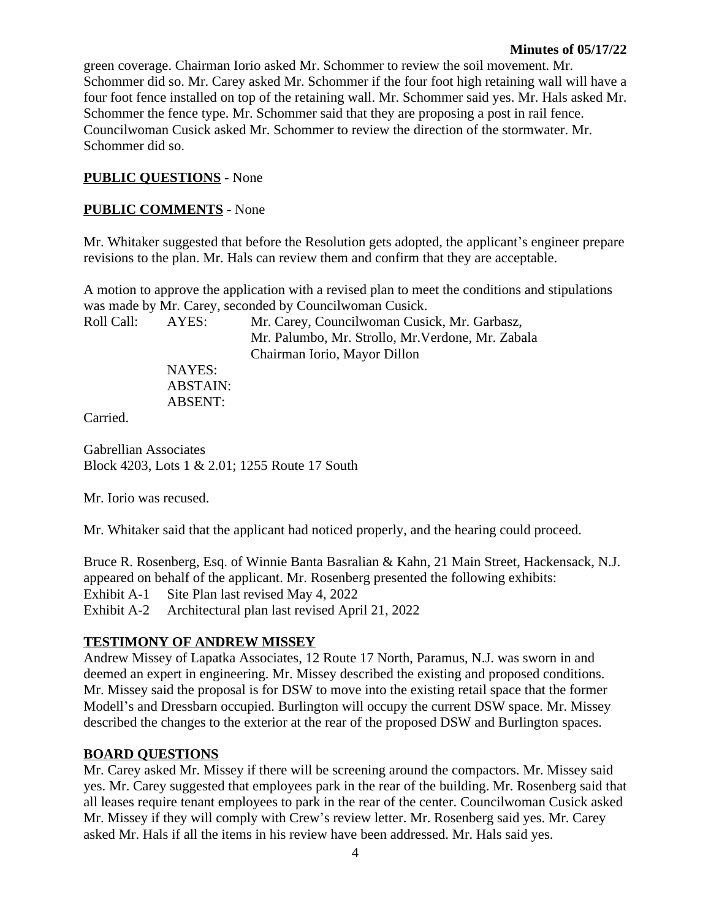green coverage. Chairman Iorio asked Mr. Schommer to review the soil movement. Mr. Schommer did so. Mr. Carey asked Mr. Schommer if the four foot high retaining wall will have a four foot fence installed on top of the retaining wall. Mr. Schommer said yes. Mr. Hals asked Mr. Schommer the fence type. Mr. Schommer said that they are proposing a post in rail fence. Councilwoman Cusick asked Mr. Schommer to review the direction of the stormwater. Mr. Schommer did so.

## **PUBLIC QUESTIONS** - None

### **PUBLIC COMMENTS** - None

Mr. Whitaker suggested that before the Resolution gets adopted, the applicant's engineer prepare revisions to the plan. Mr. Hals can review them and confirm that they are acceptable.

A motion to approve the application with a revised plan to meet the conditions and stipulations was made by Mr. Carey, seconded by Councilwoman Cusick.

| Roll Call: | AYES:           | Mr. Carey, Councilwoman Cusick, Mr. Garbasz,<br>Mr. Palumbo, Mr. Strollo, Mr. Verdone, Mr. Zabala |
|------------|-----------------|---------------------------------------------------------------------------------------------------|
|            |                 | Chairman Iorio, Mayor Dillon                                                                      |
|            | NAYES:          |                                                                                                   |
|            | <b>ABSTAIN:</b> |                                                                                                   |
|            | ABSENT:         |                                                                                                   |
|            |                 |                                                                                                   |

Carried.

Gabrellian Associates Block 4203, Lots 1 & 2.01; 1255 Route 17 South

Mr. Iorio was recused.

Mr. Whitaker said that the applicant had noticed properly, and the hearing could proceed.

Bruce R. Rosenberg, Esq. of Winnie Banta Basralian & Kahn, 21 Main Street, Hackensack, N.J. appeared on behalf of the applicant. Mr. Rosenberg presented the following exhibits: Exhibit A-1 Site Plan last revised May 4, 2022 Exhibit A-2 Architectural plan last revised April 21, 2022

## **TESTIMONY OF ANDREW MISSEY**

Andrew Missey of Lapatka Associates, 12 Route 17 North, Paramus, N.J. was sworn in and deemed an expert in engineering. Mr. Missey described the existing and proposed conditions. Mr. Missey said the proposal is for DSW to move into the existing retail space that the former Modell's and Dressbarn occupied. Burlington will occupy the current DSW space. Mr. Missey described the changes to the exterior at the rear of the proposed DSW and Burlington spaces.

## **BOARD QUESTIONS**

Mr. Carey asked Mr. Missey if there will be screening around the compactors. Mr. Missey said yes. Mr. Carey suggested that employees park in the rear of the building. Mr. Rosenberg said that all leases require tenant employees to park in the rear of the center. Councilwoman Cusick asked Mr. Missey if they will comply with Crew's review letter. Mr. Rosenberg said yes. Mr. Carey asked Mr. Hals if all the items in his review have been addressed. Mr. Hals said yes.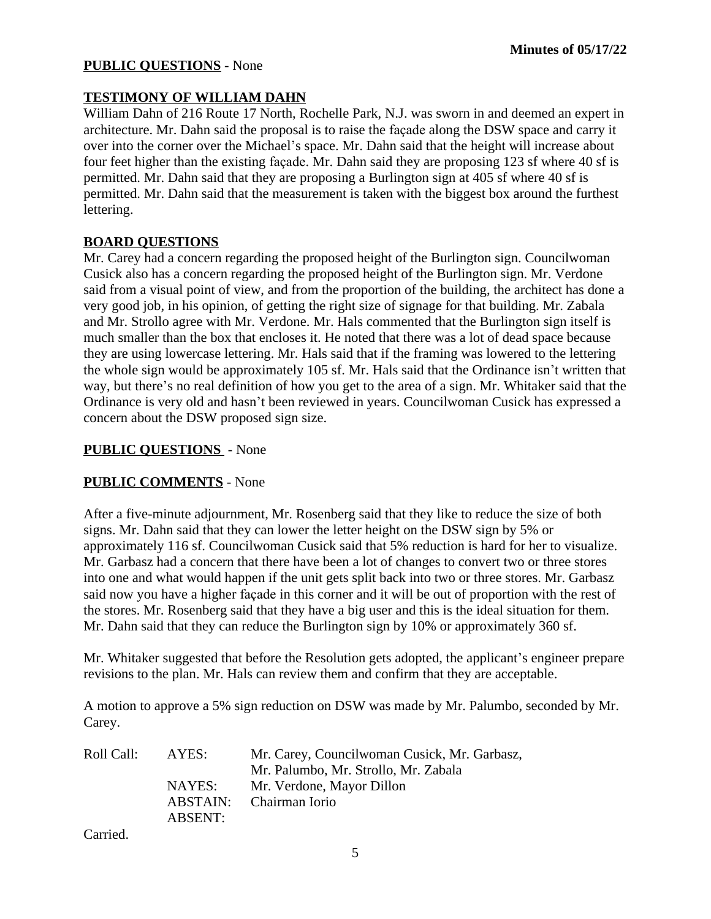#### **PUBLIC QUESTIONS** - None

## **TESTIMONY OF WILLIAM DAHN**

William Dahn of 216 Route 17 North, Rochelle Park, N.J. was sworn in and deemed an expert in architecture. Mr. Dahn said the proposal is to raise the façade along the DSW space and carry it over into the corner over the Michael's space. Mr. Dahn said that the height will increase about four feet higher than the existing façade. Mr. Dahn said they are proposing 123 sf where 40 sf is permitted. Mr. Dahn said that they are proposing a Burlington sign at 405 sf where 40 sf is permitted. Mr. Dahn said that the measurement is taken with the biggest box around the furthest lettering.

## **BOARD QUESTIONS**

Mr. Carey had a concern regarding the proposed height of the Burlington sign. Councilwoman Cusick also has a concern regarding the proposed height of the Burlington sign. Mr. Verdone said from a visual point of view, and from the proportion of the building, the architect has done a very good job, in his opinion, of getting the right size of signage for that building. Mr. Zabala and Mr. Strollo agree with Mr. Verdone. Mr. Hals commented that the Burlington sign itself is much smaller than the box that encloses it. He noted that there was a lot of dead space because they are using lowercase lettering. Mr. Hals said that if the framing was lowered to the lettering the whole sign would be approximately 105 sf. Mr. Hals said that the Ordinance isn't written that way, but there's no real definition of how you get to the area of a sign. Mr. Whitaker said that the Ordinance is very old and hasn't been reviewed in years. Councilwoman Cusick has expressed a concern about the DSW proposed sign size.

## **PUBLIC QUESTIONS** - None

## **PUBLIC COMMENTS** - None

After a five-minute adjournment, Mr. Rosenberg said that they like to reduce the size of both signs. Mr. Dahn said that they can lower the letter height on the DSW sign by 5% or approximately 116 sf. Councilwoman Cusick said that 5% reduction is hard for her to visualize. Mr. Garbasz had a concern that there have been a lot of changes to convert two or three stores into one and what would happen if the unit gets split back into two or three stores. Mr. Garbasz said now you have a higher façade in this corner and it will be out of proportion with the rest of the stores. Mr. Rosenberg said that they have a big user and this is the ideal situation for them. Mr. Dahn said that they can reduce the Burlington sign by 10% or approximately 360 sf.

Mr. Whitaker suggested that before the Resolution gets adopted, the applicant's engineer prepare revisions to the plan. Mr. Hals can review them and confirm that they are acceptable.

A motion to approve a 5% sign reduction on DSW was made by Mr. Palumbo, seconded by Mr. Carey.

| Roll Call: | AYES:   | Mr. Carey, Councilwoman Cusick, Mr. Garbasz, |  |
|------------|---------|----------------------------------------------|--|
|            |         | Mr. Palumbo, Mr. Strollo, Mr. Zabala         |  |
|            | NAYES:  | Mr. Verdone, Mayor Dillon                    |  |
|            |         | ABSTAIN: Chairman Iorio                      |  |
|            | ABSENT: |                                              |  |

Carried.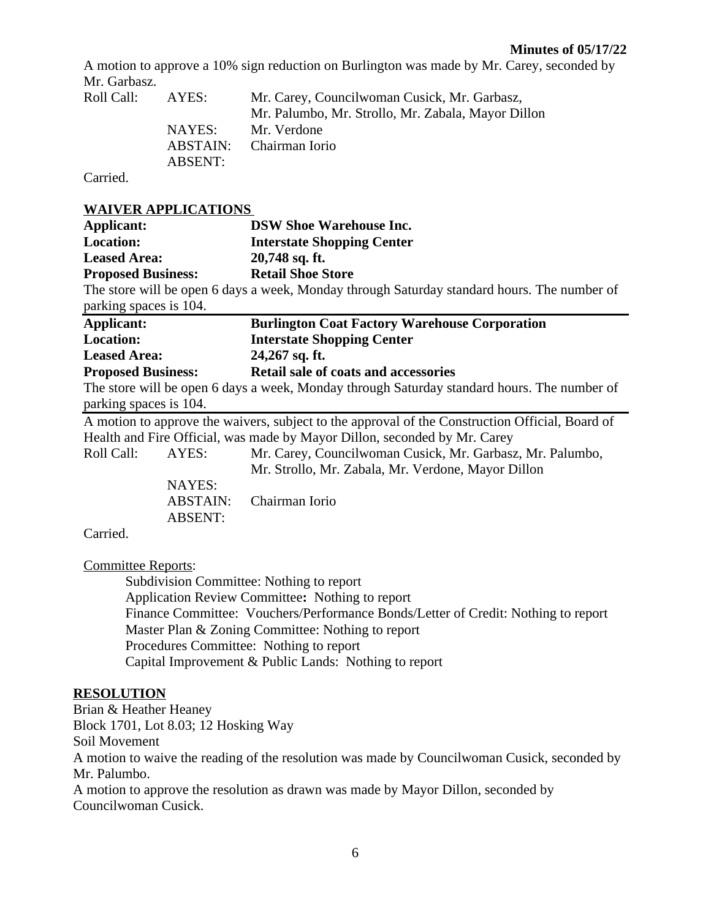#### **Minutes of 05/17/22**

A motion to approve a 10% sign reduction on Burlington was made by Mr. Carey, seconded by Mr. Garbasz.

| Roll Call: | AYES:   | Mr. Carey, Councilwoman Cusick, Mr. Garbasz,<br>Mr. Palumbo, Mr. Strollo, Mr. Zabala, Mayor Dillon |
|------------|---------|----------------------------------------------------------------------------------------------------|
|            | NAYES:  | Mr. Verdone                                                                                        |
|            |         | ABSTAIN: Chairman Iorio                                                                            |
|            | ABSENT: |                                                                                                    |

Carried.

# **WAIVER APPLICATIONS**

|                           | WAI VER ALL LICATIONS |                                                                                                 |  |
|---------------------------|-----------------------|-------------------------------------------------------------------------------------------------|--|
| <b>Applicant:</b>         |                       | <b>DSW Shoe Warehouse Inc.</b>                                                                  |  |
| <b>Location:</b>          |                       | <b>Interstate Shopping Center</b>                                                               |  |
| <b>Leased Area:</b>       |                       | 20,748 sq. ft.                                                                                  |  |
| <b>Proposed Business:</b> |                       | <b>Retail Shoe Store</b>                                                                        |  |
|                           |                       | The store will be open 6 days a week, Monday through Saturday standard hours. The number of     |  |
| parking spaces is 104.    |                       |                                                                                                 |  |
| Applicant:                |                       | <b>Burlington Coat Factory Warehouse Corporation</b>                                            |  |
| <b>Location:</b>          |                       | <b>Interstate Shopping Center</b>                                                               |  |
| <b>Leased Area:</b>       |                       | 24,267 sq. ft.                                                                                  |  |
| <b>Proposed Business:</b> |                       | <b>Retail sale of coats and accessories</b>                                                     |  |
|                           |                       | The store will be open 6 days a week, Monday through Saturday standard hours. The number of     |  |
| parking spaces is 104.    |                       |                                                                                                 |  |
|                           |                       | A motion to approve the waivers, subject to the approval of the Construction Official, Board of |  |
|                           |                       | Health and Fire Official, was made by Mayor Dillon, seconded by Mr. Carey                       |  |
| Roll Call:                | AYES:                 | Mr. Carey, Councilwoman Cusick, Mr. Garbasz, Mr. Palumbo,                                       |  |
|                           |                       | Mr. Strollo, Mr. Zabala, Mr. Verdone, Mayor Dillon                                              |  |
|                           | NAYES:                |                                                                                                 |  |
|                           | <b>ABSTAIN:</b>       | Chairman Iorio                                                                                  |  |
|                           | <b>ABSENT:</b>        |                                                                                                 |  |
| Carried.                  |                       |                                                                                                 |  |

Committee Reports:

Subdivision Committee: Nothing to report Application Review Committee**:** Nothing to report Finance Committee: Vouchers/Performance Bonds/Letter of Credit: Nothing to report Master Plan & Zoning Committee: Nothing to report Procedures Committee: Nothing to report Capital Improvement & Public Lands: Nothing to report

#### **RESOLUTION**

Brian & Heather Heaney Block 1701, Lot 8.03; 12 Hosking Way

Soil Movement

A motion to waive the reading of the resolution was made by Councilwoman Cusick, seconded by Mr. Palumbo.

A motion to approve the resolution as drawn was made by Mayor Dillon, seconded by Councilwoman Cusick.